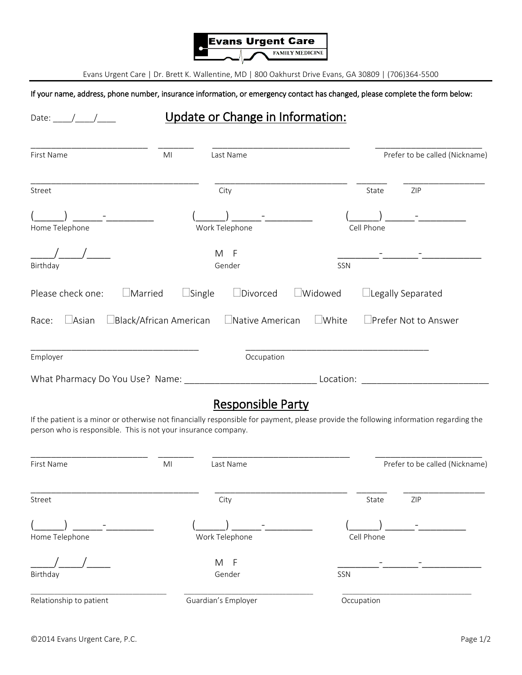

Evans Urgent Care | Dr. Brett K. Wallentine, MD | 800 Oakhurst Drive Evans, GA 30809 | (706)364-5500

If your name, address, phone number, insurance information, or emergency contact has changed, please complete the form below:

## Date: <u>\_\_\_\_/ \_\_\_</u>/ \_\_\_\_\_ Update or Change in Information: \_\_\_\_\_\_\_\_\_\_\_\_\_\_\_\_\_\_\_\_\_\_\_ \_\_\_\_\_\_\_ \_\_\_\_\_\_\_\_\_\_\_\_\_\_\_\_\_\_\_\_\_\_\_\_\_\_\_ \_\_\_\_\_\_\_\_\_\_\_\_\_\_\_\_\_\_\_\_\_ First Name **MI** Last Name **Contained ACC** Prefer to be called (Nickname) \_\_\_\_\_\_\_\_\_\_\_\_\_\_\_\_\_\_\_\_\_\_\_\_\_\_\_\_\_\_\_\_\_ \_\_\_\_\_\_\_\_\_\_\_\_\_\_\_\_\_\_\_\_\_\_\_\_\_\_ \_\_\_\_\_\_ \_\_\_\_\_\_\_\_\_\_\_\_\_\_\_\_ Street 2IP Street 2IP State 2IP State 2IP State 2IP State 2IP State 3IP State 3IP State 3IP (\_\_\_\_\_) \_\_\_\_\_-\_\_\_\_\_\_\_\_ (\_\_\_\_\_) \_\_\_\_\_-\_\_\_\_\_\_\_\_ (\_\_\_\_\_) \_\_\_\_\_-\_\_\_\_\_\_\_\_ Home Telephone Work Telephone Cell Phone \_\_\_\_/\_\_\_\_/\_\_\_\_ M F \_\_\_\_\_\_\_-\_\_\_\_\_\_-\_\_\_\_\_\_\_\_\_\_ Birthday Gender SSN Please check one:  $\Box$ Married  $\Box$ Single  $\Box$ Divorced  $\Box$ Widowed  $\Box$ Legally Separated Race:  $\Box$ Asian  $\Box$ Black/African American  $\Box$ Native American  $\Box$ White  $\Box$ Prefer Not to Answer \_\_\_\_\_\_\_\_\_\_\_\_\_\_\_\_\_\_\_\_\_\_\_\_\_\_\_\_\_\_\_\_\_ \_\_\_\_\_\_\_\_\_\_\_\_\_\_\_\_\_\_\_\_\_\_\_\_\_\_\_\_\_\_\_\_\_\_\_\_ Employer **Employer** Controller Controller Controller Controller Controller Controller Controller Controller Controller Controller Controller Controller Controller Controller Controller Controller Controller Controller Cont What Pharmacy Do You Use? Name: \_\_\_\_\_\_\_\_\_\_\_\_\_\_\_\_\_\_\_\_\_\_\_\_\_\_ Location: \_\_\_\_\_\_\_\_\_\_\_\_\_\_\_\_\_\_\_\_\_\_\_\_\_

## Responsible Party

If the patient is a minor or otherwise not financially responsible for payment, please provide the following information regarding the person who is responsible. This is not your insurance company.

| First Name              | MI<br>Last Name     |            | Prefer to be called (Nickname) |
|-------------------------|---------------------|------------|--------------------------------|
| Street                  | City                | State      | ZIP                            |
| Home Telephone          | Work Telephone      | Cell Phone |                                |
| Birthday                | F<br>M<br>Gender    | SSN        |                                |
| Relationship to patient | Guardian's Employer | Occupation |                                |